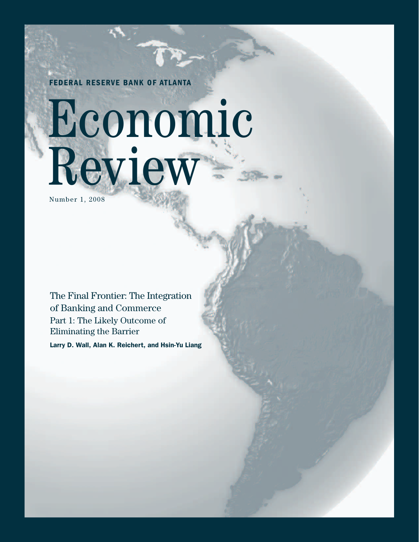**FEDERAL RESERVE BANK OF ATLANTA**

# Economic Review

Number 1, 2008

The Final Frontier: The Integration of Banking and Commerce Part 1: The Likely Outcome of Eliminating the Barrier **Larry D. Wall, Alan K. Reichert, and Hsin-Yu Liang**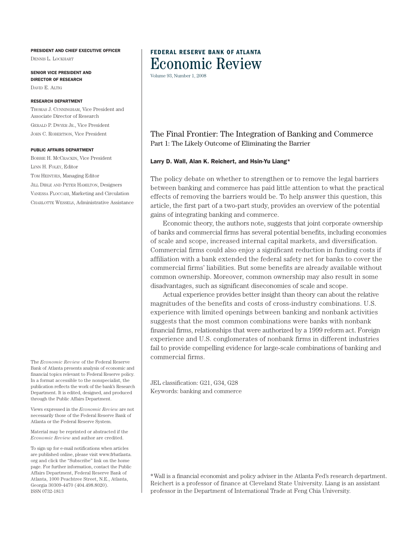#### **PRESIDENT AND CHIEF EXECUTIVE OFFICER**

DENNIS L. LOCKHART

**SENIOR VICE PRESIDENT AND DIRECTOR OF RESEARCH** DAVID E. ALTIG

#### **RESEARCH DEPARTMENT**

THOMAS J. CUNNINGHAM, Vice President and Associate Director of Research GERALD P. DWYER JR., Vice President JOHN C. ROBERTSON, Vice President

#### **PUBLIC AFFAIRS DEPARTMENT**

BOBBIE H. MCCRACKIN, Vice President LYNN H. FOLEY, Editor TOM HEINTJES, Managing Editor JILL DIBLE AND PETER HAMILTON, Designers VANESSA FLOCCARI, Marketing and Circulation CHARLOTTE WESSELS, Administrative Assistance

The *Economic Review* of the Federal Reserve Bank of Atlanta presents analysis of economic and financial topics relevant to Federal Reserve policy. In a format accessible to the nonspecialist, the publication reflects the work of the bank's Research Department. It is edited, designed, and produced through the Public Affairs Department.

Views expressed in the *Economic Review* are not necessarily those of the Federal Reserve Bank of Atlanta or the Federal Reserve System.

Material may be reprinted or abstracted if the *Economic Review* and author are credited.

To sign up for e-mail notifications when articles are published online, please visit www.frbatlanta. org and click the "Subscribe" link on the home page. For further information, contact the Public Affairs Department, Federal Reserve Bank of Atlanta, 1000 Peachtree Street, N.E., Atlanta, Georgia 30309-4470 (404.498.8020). ISSN 0732-1813

## **FEDERAL RESERVE BANK OF ATLANTA** Economic Review

Volume 93, Number 1, 2008

#### The Final Frontier: The Integration of Banking and Commerce Part 1: The Likely Outcome of Eliminating the Barrier

#### **Larry D. Wall, Alan K. Reichert, and Hsin-Yu Liang\***

The policy debate on whether to strengthen or to remove the legal barriers between banking and commerce has paid little attention to what the practical effects of removing the barriers would be. To help answer this question, this article, the first part of a two-part study, provides an overview of the potential gains of integrating banking and commerce.

Economic theory, the authors note, suggests that joint corporate ownership of banks and commercial firms has several potential benefits, including economies of scale and scope, increased internal capital markets, and diversification. Commercial firms could also enjoy a significant reduction in funding costs if affiliation with a bank extended the federal safety net for banks to cover the commercial firms' liabilities. But some benefits are already available without common ownership. Moreover, common ownership may also result in some disadvantages, such as significant diseconomies of scale and scope.

Actual experience provides better insight than theory can about the relative magnitudes of the benefits and costs of cross-industry combinations. U.S. experience with limited openings between banking and nonbank activities suggests that the most common combinations were banks with nonbank financial firms, relationships that were authorized by a 1999 reform act. Foreign experience and U.S. conglomerates of nonbank firms in different industries fail to provide compelling evidence for large-scale combinations of banking and commercial firms.

JEL classification: G21, G34, G28 Keywords: banking and commerce

\*Wall is a financial economist and policy adviser in the Atlanta Fed's research department. Reichert is a professor of finance at Cleveland State University. Liang is an assistant professor in the Department of International Trade at Feng Chia University.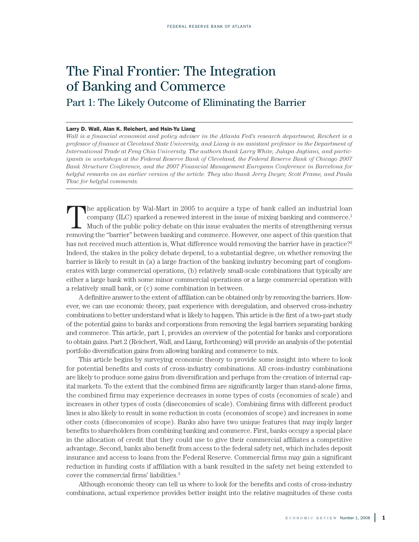# The Final Frontier: The Integration of Banking and Commerce

### Part 1: The Likely Outcome of Eliminating the Barrier

#### **Larry D. Wall, Alan K. Reichert, and Hsin-Yu Liang**

*Wall is a financial economist and policy adviser in the Atlanta Fed's research department, Reichert is a* professor of finance at Cleveland State University, and Liang is an assistant professor in the Department of *International Trade at Feng Chia University. The authors thank Larry White, Julapa Jagtiani, and participants in workshops at the Federal Reserve Bank of Cleveland, the Federal Reserve Bank of Chicago 2007 Bank Structure Conference, and the 2007 Financial Management European Conference in Barcelona for* helpful remarks on an earlier version of the article. They also thank Jerry Dwyer, Scott Frame, and Paula *Tkac for helpful comments.*

The application by Wal-Mart in 2005 to acquire a type of bank called an industrial loan company (ILC) sparked a renewed interest in the issue of mixing banking and commerce. 1 Much of the public policy debate on this issue evaluates the merits of strengthening versus removing the "barrier" between banking and commerce. However, one aspect of this question that has not received much attention is, What difference would removing the barrier have in practice?<sup>2</sup> Indeed, the stakes in the policy debate depend, to a substantial degree, on whether removing the barrier is likely to result in (a) a large fraction of the banking industry becoming part of conglomerates with large commercial operations, (b) relatively small-scale combinations that typically are either a large bank with some minor commercial operations or a large commercial operation with a relatively small bank, or (c) some combination in between.

A definitive answerto the extent of affiliation can be obtained only by removing the barriers. However, we can use economic theory, past experience with deregulation, and observed cross-industry combinations to better understand what is likely to happen. This article is the first of a two-part study of the potential gains to banks and corporations from removing the legal barriers separating banking and commerce. This article, part 1, provides an overview of the potential for banks and corporations to obtain gains. Part 2 (Reichert, Wall, and Liang, forthcoming) will provide an analysis of the potential portfolio diversification gains from allowing banking and commerce to mix.

This article begins by surveying economic theory to provide some insight into where to look for potential benefits and costs of cross-industry combinations. All cross-industry combinations are likely to produce some gains from diversification and perhaps from the creation of internal capital markets. To the extent that the combined firms are significantly larger than stand-alone firms, the combined firms may experience decreases in some types of costs (economies of scale) and increases in other types of costs (diseconomies of scale). Combining firms with different product lines is also likely to result in some reduction in costs (economies of scope) and increases in some other costs (diseconomies of scope). Banks also have two unique features that may imply larger benefits to shareholders from combining banking and commerce. First, banks occupy a special place in the allocation of credit that they could use to give their commercial affiliates a competitive advantage. Second, banks also benefit from access to the federal safety net, which includes deposit insurance and access to loans from the Federal Reserve. Commercial firms may gain a significant reduction in funding costs if affiliation with a bank resulted in the safety net being extended to cover the commercial firms' liabilities. 3

Although economic theory can tell us where to look for the benefits and costs of cross-industry combinations, actual experience provides better insight into the relative magnitudes of these costs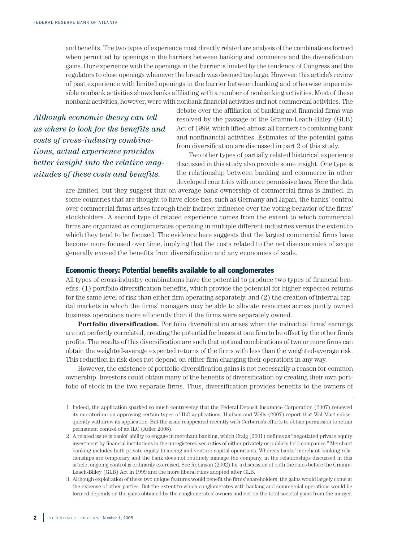and benefits. The two types of experience most directly related are analysis of the combinations formed when permitted by openings in the barriers between banking and commerce and the diversification gains. Our experience with the openings in the barrier is limited by the tendency of Congress and the regulators to close openings wheneverthe breach was deemed too large. However, this article's review of past experience with limited openings in the barrier between banking and otherwise impermissible nonbank activities shows banks affiliating with a number of nonbanking activities. Most of these nonbank activities, however, were with nonbank financial activities and not commercial activities. The

*Although economic theory can tell us where to look for the benefits and costs of cross-industry combinations, actual experience provides better insight into the relative magnitudes of these costs and benefits.*

debate over the affiliation of banking and financial firms was resolved by the passage of the Gramm-Leach-Bliley (GLB) Act of 1999, which lifted almost all barriers to combining bank and nonfinancial activities. Estimates of the potential gains from diversification are discussed in part 2 of this study.

Two other types of partially related historical experience discussed in this study also provide some insight. One type is the relationship between banking and commerce in other developed countries with more permissive laws. Here the data

are limited, but they suggest that on average bank ownership of commercial firms is limited. In some countries that are thought to have close ties, such as Germany and Japan, the banks' control over commercial firms arises through their indirect influence over the voting behavior of the firms' stockholders. A second type of related experience comes from the extent to which commercial firms are organized as conglomerates operating in multiple different industries versus the extent to which they tend to be focused. The evidence here suggests that the largest commercial firms have become more focused over time, implying that the costs related to the net diseconomies of scope generally exceed the benefits from diversification and any economies of scale.

#### **Economic theory: Potential benefits available to all conglomerates**

All types of cross-industry combinations have the potential to produce two types of financial benefits: (1) portfolio diversification benefits, which provide the potential for higher expected returns for the same level of risk than either firm operating separately, and (2) the creation of internal capital markets in which the firms' managers may be able to allocate resources across jointly owned business operations more efficiently than if the firms were separately owned.

**Portfolio diversification.** Portfolio diversification arises when the individual firms' earnings are not perfectly correlated, creating the potential for losses at one firm to be offset by the other firm's profits. The results of this diversification are such that optimal combinations of two or more firms can obtain the weighted-average expected returns of the firms with less than the weighted-average risk. This reduction in risk does not depend on either firm changing their operations in any way.

However, the existence of portfolio diversification gains is not necessarily a reason for common ownership. Investors could obtain many of the benefits of diversification by creating their own portfolio of stock in the two separate firms. Thus, diversification provides benefits to the owners of

<sup>1.</sup> Indeed, the application sparked so much controversy that the Federal Deposit Insurance Corporation (2007) renewed its moratorium on approving certain types of ILC applications. Hudson and Wells (2007) report that Wal-Mart subsequently withdrew its application. But the issue reappeared recently with Cerberus's efforts to obtain permission to retain permanent control of an ILC (Adler 2008).

<sup>2.</sup> A related issue is banks' ability to engage in merchant banking, which Craig (2001) defines as "negotiated private equity investment by financial institutions in the unregistered securities of either privately or publicly held companies." Merchant banking includes both private equity financing and venture capital operations. Whereas banks' merchant banking relationships are temporary and the bank does not routinely manage the company, in the relationships discussed in this article, ongoing control is ordinarily exercised. See Robinson (2002) for a discussion of both the rules before the Gramm-Leach-Bliley (GLB) Act in 1999 and the more liberal rules adopted after GLB.

<sup>3.</sup> Although exploitation of these two unique features would benefit the firms' shareholders, the gains would largely come at the expense of other parties. But the extent to which conglomerates with banking and commercial operations would be formed depends on the gains obtained by the conglomerates' owners and not on the total societal gains from the merger.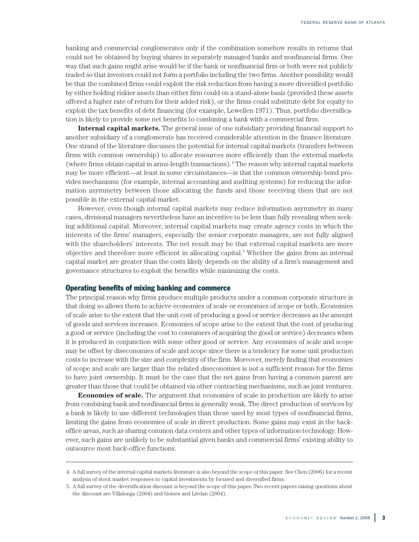banking and commercial conglomerates only if the combination somehow results in returns that could not be obtained by buying shares in separately managed banks and nonfinancial firms. One way that such gains might arise would be if the bank or nonfinancial firm or both were not publicly traded so that investors could not form a portfolio including the two firms. Another possibility would be that the combined firms could exploit the risk reduction from having a more diversified portfolio by either holding riskier assets than either firm could on a stand-alone basis (provided these assets offered a higher rate of return for their added risk), or the firms could substitute debt for equity to exploit the tax benefits of debt financing (for example, Lewellen 1971). Thus, portfolio diversification is likely to provide some net benefits to combining a bank with a commercial firm.

**Internal capital markets.** The general issue of one subsidiary providing financial support to another subsidiary of a conglomerate has received considerable attention in the finance literature. One strand of the literature discusses the potential for internal capital markets (transfers between firms with common ownership) to allocate resources more efficiently than the external markets (where firms obtain capital in arms-length transactions). <sup>4</sup> The reason why internal capital markets may be more efficient—at least in some circumstances—is that the common ownership bond provides mechanisms (for example, internal accounting and auditing systems) for reducing the information asymmetry between those allocating the funds and those receiving them that are not possible in the external capital market.

However, even though internal capital markets may reduce information asymmetry in many cases, divisional managers nevertheless have an incentive to be less than fully revealing when seeking additional capital. Moreover, internal capital markets may create agency costs in which the interests of the firms' managers, especially the senior corporate managers, are not fully aligned with the shareholders' interests. The net result may be that external capital markets are more objective and therefore more efficient in allocating capital. <sup>5</sup> Whether the gains from an internal capital market are greater than the costs likely depends on the ability of a firm's management and governance structures to exploit the benefits while minimizing the costs.

#### **Operating benefits of mixing banking and commerce**

The principal reason why firms produce multiple products under a common corporate structure is that doing so allows them to achieve economies of scale or economies of scope or both. Economies of scale arise to the extent that the unit cost of producing a good or service decreases as the amount of goods and services increases. Economies of scope arise to the extent that the cost of producing a good or service (including the cost to consumers of acquiring the good or service) decreases when it is produced in conjunction with some other good or service. Any economies of scale and scope may be offset by diseconomies of scale and scope since there is a tendency for some unit production costs to increase with the size and complexity of the firm. Moreover, merely finding that economies of scope and scale are larger than the related diseconomies is not a sufficient reason for the firms to have joint ownership. It must be the case that the net gains from having a common parent are greater than those that could be obtained via other contracting mechanisms, such as joint ventures.

**Economies of scale.** The argument that economies of scale in production are likely to arise from combining bank and nonfinancial firms is generally weak. The direct production of services by a bank is likely to use different technologies than those used by most types of nonfinancial firms, limiting the gains from economies of scale in direct production. Some gains may exist in the backoffice areas, such as sharing common data centers and other types of information technology. However, such gains are unlikely to be substantial given banks and commercial firms' existing ability to outsource most back-office functions.

<sup>4.</sup> A full survey of the internal capital markets literature is also beyond the scope of this paper. See Chen (2006) for a recent analysis of stock market responses to capital investments by focused and diversified firms.

<sup>5.</sup> A full survey of the diversification discount is beyond the scope of this paper. Two recent papers raising questions about the discount are Villalonga (2004) and Gomes and Livdan (2004).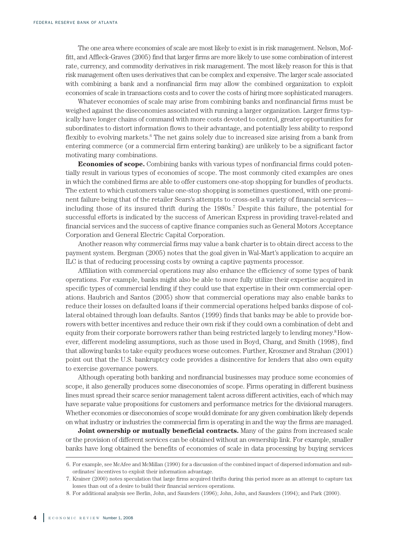The one area where economies of scale are most likely to exist is in risk management. Nelson, Moffitt, and Affleck-Graves (2005) find that larger firms are more likely to use some combination of interest rate, currency, and commodity derivatives in risk management. The most likely reason for this is that risk management often uses derivatives that can be complex and expensive. The larger scale associated with combining a bank and a nonfinancial firm may allow the combined organization to exploit economies of scale in transactions costs and to cover the costs of hiring more sophisticated managers.

Whatever economies of scale may arise from combining banks and nonfinancial firms must be weighed against the diseconomies associated with running a larger organization. Larger firms typically have longer chains of command with more costs devoted to control, greater opportunities for subordinates to distort information flows to their advantage, and potentially less ability to respond flexibly to evolving markets.<sup>6</sup> The net gains solely due to increased size arising from a bank from entering commerce (or a commercial firm entering banking) are unlikely to be a significant factor motivating many combinations.

**Economies of scope.** Combining banks with various types of nonfinancial firms could potentially result in various types of economies of scope. The most commonly cited examples are ones in which the combined firms are able to offer customers one-stop shopping for bundles of products. The extent to which customers value one-stop shopping is sometimes questioned, with one prominent failure being that of the retailer Sears's attempts to cross-sell a variety of financial services including those of its insured thrift during the 1980s. <sup>7</sup> Despite this failure, the potential for successful efforts is indicated by the success of American Express in providing travel-related and financial services and the success of captive finance companies such as General Motors Acceptance Corporation and General Electric Capital Corporation.

Another reason why commercial firms may value a bank charter is to obtain direct access to the payment system. Bergman (2005) notes that the goal given in Wal-Mart's application to acquire an ILC is that of reducing processing costs by owning a captive payments processor.

Affiliation with commercial operations may also enhance the efficiency of some types of bank operations. For example, banks might also be able to more fully utilize their expertise acquired in specific types of commercial lending if they could use that expertise in their own commercial operations. Haubrich and Santos (2005) show that commercial operations may also enable banks to reduce their losses on defaulted loans if their commercial operations helped banks dispose of collateral obtained through loan defaults. Santos (1999) finds that banks may be able to provide borrowers with better incentives and reduce their own risk if they could own a combination of debt and equity from their corporate borrowers rather than being restricted largely to lending money.<sup>8</sup> However, different modeling assumptions, such as those used in Boyd, Chang, and Smith (1998), find that allowing banks to take equity produces worse outcomes. Further, Kroszner and Strahan (2001) point out that the U.S. bankruptcy code provides a disincentive for lenders that also own equity to exercise governance powers.

Although operating both banking and nonfinancial businesses may produce some economies of scope, it also generally produces some diseconomies of scope. Firms operating in different business lines must spread their scarce senior management talent across different activities, each of which may have separate value propositions for customers and performance metrics for the divisional managers. Whether economies or diseconomies of scope would dominate for any given combination likely depends on what industry or industries the commercial firm is operating in and the way the firms are managed.

**Joint ownership or mutually beneficial contracts.** Many of the gains from increased scale or the provision of different services can be obtained without an ownership link. For example, smaller banks have long obtained the benefits of economies of scale in data processing by buying services

<sup>6.</sup> For example, see McAfee and McMillan (1990) for a discussion of the combined impact of dispersed information and subordinates' incentives to exploit their information advantage.

<sup>7.</sup> Krainer (2000) notes speculation that large firms acquired thrifts during this period more as an attempt to capture tax losses than out of a desire to build their financial services operations.

<sup>8.</sup> For additional analysis see Berlin, John, and Saunders (1996); John, John, and Saunders (1994); and Park (2000).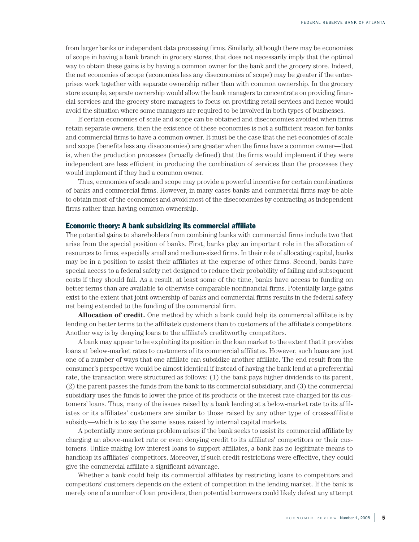from larger banks or independent data processing firms. Similarly, although there may be economies of scope in having a bank branch in grocery stores, that does not necessarily imply that the optimal way to obtain these gains is by having a common owner for the bank and the grocery store. Indeed, the net economies of scope (economies less any diseconomies of scope) may be greater if the enterprises work together with separate ownership rather than with common ownership. In the grocery store example, separate ownership would allow the bank managers to concentrate on providing financial services and the grocery store managers to focus on providing retail services and hence would avoid the situation where some managers are required to be involved in both types of businesses.

If certain economies of scale and scope can be obtained and diseconomies avoided when firms retain separate owners, then the existence of these economies is not a sufficient reason for banks and commercial firms to have a common owner. It must be the case that the net economies of scale and scope (benefits less any diseconomies) are greater when the firms have a common owner—that is, when the production processes (broadly defined) that the firms would implement if they were independent are less efficient in producing the combination of services than the processes they would implement if they had a common owner.

Thus, economies of scale and scope may provide a powerful incentive for certain combinations of banks and commercial firms. However, in many cases banks and commercial firms may be able to obtain most of the economies and avoid most of the diseconomies by contracting as independent firms rather than having common ownership.

#### **Economic theory: A bank subsidizing its commercial affiliate**

The potential gains to shareholders from combining banks with commercial firms include two that arise from the special position of banks. First, banks play an important role in the allocation of resources to firms, especially small and medium-sized firms. In their role of allocating capital, banks may be in a position to assist their affiliates at the expense of other firms. Second, banks have special access to a federal safety net designed to reduce their probability of failing and subsequent costs if they should fail. As a result, at least some of the time, banks have access to funding on better terms than are available to otherwise comparable nonfinancial firms. Potentially large gains exist to the extent that joint ownership of banks and commercial firms results in the federal safety net being extended to the funding of the commercial firm.

**Allocation of credit.** One method by which a bank could help its commercial affiliate is by lending on better terms to the affiliate's customers than to customers of the affiliate's competitors. Another way is by denying loans to the affiliate's creditworthy competitors.

A bank may appear to be exploiting its position in the loan market to the extent that it provides loans at below-market rates to customers of its commercial affiliates. However, such loans are just one of a number of ways that one affiliate can subsidize another affiliate. The end result from the consumer's perspective would be almost identical if instead of having the bank lend at a preferential rate, the transaction were structured as follows: (1) the bank pays higher dividends to its parent, (2) the parent passes the funds from the bank to its commercial subsidiary, and (3) the commercial subsidiary uses the funds to lower the price of its products or the interest rate charged for its customers' loans. Thus, many of the issues raised by a bank lending at a below-market rate to its affiliates or its affiliates' customers are similar to those raised by any other type of cross-affiliate subsidy—which is to say the same issues raised by internal capital markets.

A potentially more serious problem arises if the bank seeks to assist its commercial affiliate by charging an above-market rate or even denying credit to its affiliates' competitors or their customers. Unlike making low-interest loans to support affiliates, a bank has no legitimate means to handicap its affiliates' competitors. Moreover, if such credit restrictions were effective, they could give the commercial affiliate a significant advantage.

Whether a bank could help its commercial affiliates by restricting loans to competitors and competitors' customers depends on the extent of competition in the lending market. If the bank is merely one of a number of loan providers, then potential borrowers could likely defeat any attempt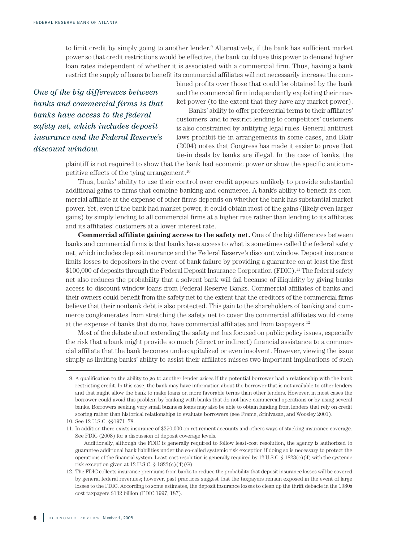to limit credit by simply going to another lender. <sup>9</sup> Alternatively, if the bank has sufficient market power so that credit restrictions would be effective, the bank could use this power to demand higher loan rates independent of whether it is associated with a commercial firm. Thus, having a bank restrict the supply of loans to benefit its commercial affiliates will not necessarily increase the com-

*One of the big differences between banks and commercial firms is that banks have access to the federal safety net, which includes deposit insurance and the Federal Reserve's discount window.*

bined profits over those that could be obtained by the bank and the commercial firm independently exploiting their market power (to the extent that they have any market power).

Banks' ability to offer preferential terms to their affiliates' customers and to restrict lending to competitors' customers is also constrained by antitying legal rules. General antitrust laws prohibit tie-in arrangements in some cases, and Blair (2004) notes that Congress has made it easier to prove that tie-in deals by banks are illegal. In the case of banks, the

plaintiff is not required to show that the bank had economic power or show the specific anticompetitive effects of the tying arrangement. 10

Thus, banks' ability to use their control over credit appears unlikely to provide substantial additional gains to firms that combine banking and commerce. A bank's ability to benefit its commercial affiliate at the expense of other firms depends on whether the bank has substantial market power. Yet, even if the bank had market power, it could obtain most of the gains (likely even larger gains) by simply lending to all commercial firms at a higher rate rather than lending to its affiliates and its affiliates' customers at a lower interest rate.

**Commercial affiliate gaining access to the safety net.** One of the big differences between banks and commercial firms is that banks have access to what is sometimes called the federal safety net, which includes deposit insurance and the Federal Reserve's discount window. Deposit insurance limits losses to depositors in the event of bank failure by providing a guarantee on at least the first \$100,000 of deposits through the Federal Deposit Insurance Corporation (FDIC).<sup>11</sup> The federal safety net also reduces the probability that a solvent bank will fail because of illiquidity by giving banks access to discount window loans from Federal Reserve Banks. Commercial affiliates of banks and their owners could benefit from the safety net to the extent that the creditors of the commercial firms believe that their nonbank debt is also protected. This gain to the shareholders of banking and commerce conglomerates from stretching the safety net to cover the commercial affiliates would come at the expense of banks that do not have commercial affiliates and from taxpayers.<sup>12</sup>

Most of the debate about extending the safety net has focused on public policy issues, especially the risk that a bank might provide so much (direct or indirect) financial assistance to a commercial affiliate that the bank becomes undercapitalized or even insolvent. However, viewing the issue simply as limiting banks' ability to assist their affiliates misses two important implications of such

<sup>9.</sup> A qualification to the ability to go to another lender arises if the potential borrower had a relationship with the bank restricting credit. In this case, the bank may have information about the borrower that is not available to other lenders and that might allow the bank to make loans on more favorable terms than other lenders. However, in most cases the borrower could avoid this problem by banking with banks that do not have commercial operations or by using several banks. Borrowers seeking very small business loans may also be able to obtain funding from lenders that rely on credit scoring rather than historical relationships to evaluate borrowers (see Frame, Srinivasan, and Woosley 2001).

<sup>10.</sup> See 12 U.S.C. §§1971–78.

<sup>11.</sup> In addition there exists insurance of \$250,000 on retirement accounts and others ways of stacking insurance coverage. See FDIC (2008) for a discussion of deposit coverage levels.

Additionally, although the FDIC is generally required to follow least-cost resolution, the agency is authorized to guarantee additional bank liabilities under the so-called systemic risk exception if doing so is necessary to protect the operations of the financial system. Least-cost resolution is generally required by 12 U.S.C. § 1823(c)(4) with the systemic risk exception given at  $12$  U.S.C.  $\S$   $1823(c)(4)(G)$ .

<sup>12.</sup> The FDIC collects insurance premiums from banks to reduce the probability that deposit insurance losses will be covered by general federal revenues; however, past practices suggest that the taxpayers remain exposed in the event of large losses to the FDIC. According to some estimates, the deposit insurance losses to clean up the thrift debacle in the 1980s cost taxpayers \$132 billion (FDIC 1997, 187).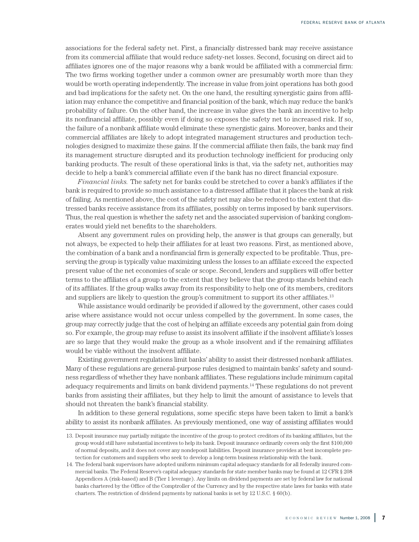associations for the federal safety net. First, a financially distressed bank may receive assistance from its commercial affiliate that would reduce safety-net losses. Second, focusing on direct aid to affiliates ignores one of the major reasons why a bank would be affiliated with a commercial firm: The two firms working together under a common owner are presumably worth more than they would be worth operating independently. The increase in value from joint operations has both good and bad implications for the safety net. On the one hand, the resulting synergistic gains from affiliation may enhance the competitive and financial position of the bank, which may reduce the bank's probability of failure. On the other hand, the increase in value gives the bank an incentive to help its nonfinancial affiliate, possibly even if doing so exposes the safety net to increased risk. If so, the failure of a nonbank affiliate would eliminate these synergistic gains. Moreover, banks and their commercial affiliates are likely to adopt integrated management structures and production technologies designed to maximize these gains. If the commercial affiliate then fails, the bank may find its management structure disrupted and its production technology inefficient for producing only banking products. The result of these operational links is that, via the safety net, authorities may decide to help a bank's commercial affiliate even if the bank has no direct financial exposure.

*Financial links.* The safety net for banks could be stretched to cover a bank's affiliates if the bank is required to provide so much assistance to a distressed affiliate that it places the bank at risk of failing. As mentioned above, the cost of the safety net may also be reduced to the extent that distressed banks receive assistance from its affiliates, possibly on terms imposed by bank supervisors. Thus, the real question is whether the safety net and the associated supervision of banking conglomerates would yield net benefits to the shareholders.

Absent any government rules on providing help, the answer is that groups can generally, but not always, be expected to help their affiliates for at least two reasons. First, as mentioned above, the combination of a bank and a nonfinancial firm is generally expected to be profitable. Thus, preserving the group is typically value maximizing unless the losses to an affiliate exceed the expected present value of the net economies of scale or scope. Second, lenders and suppliers will offer better terms to the affiliates of a group to the extent that they believe that the group stands behind each of its affiliates. If the group walks away from its responsibility to help one of its members, creditors and suppliers are likely to question the group's commitment to support its other affiliates.<sup>13</sup>

While assistance would ordinarily be provided if allowed by the government, other cases could arise where assistance would not occur unless compelled by the government. In some cases, the group may correctly judge that the cost of helping an affiliate exceeds any potential gain from doing so. For example, the group may refuse to assist its insolvent affiliate if the insolvent affiliate's losses are so large that they would make the group as a whole insolvent and if the remaining affiliates would be viable without the insolvent affiliate.

Existing government regulations limit banks' ability to assist their distressed nonbank affiliates. Many of these regulations are general-purpose rules designed to maintain banks' safety and soundness regardless of whether they have nonbank affiliates. These regulations include minimum capital adequacy requirements and limits on bank dividend payments. <sup>14</sup> These regulations do not prevent banks from assisting their affiliates, but they help to limit the amount of assistance to levels that should not threaten the bank's financial stability.

In addition to these general regulations, some specific steps have been taken to limit a bank's ability to assist its nonbank affiliates. As previously mentioned, one way of assisting affiliates would

<sup>13.</sup> Deposit insurance may partially mitigate the incentive of the group to protect creditors of its banking affiliates, but the group would still have substantial incentives to help its bank. Deposit insurance ordinarily covers only the first \$100,000 of normal deposits, and it does not cover any nondeposit liabilities. Deposit insurance provides at best incomplete protection for customers and suppliers who seek to develop a long-term business relationship with the bank.

<sup>14.</sup> The federal bank supervisors have adopted uniform minimum capital adequacy standards for all federally insured commercial banks. The Federal Reserve's capital adequacy standards for state member banks may be found at 12 CFR § 208 Appendices A (risk-based) and B (Tier 1 leverage). Any limits on dividend payments are set by federal law for national banks chartered by the Office of the Comptroller of the Currency and by the respective state laws for banks with state charters. The restriction of dividend payments by national banks is set by 12 U.S.C. § 60(b).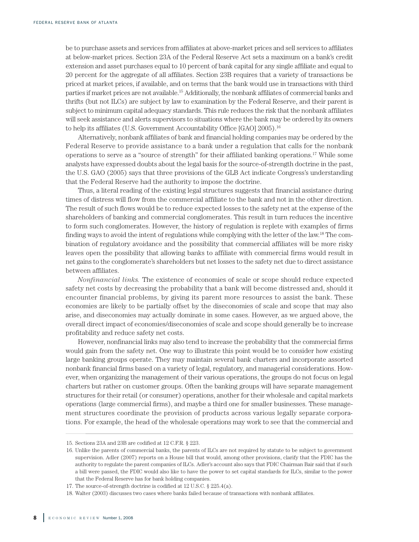be to purchase assets and services from affiliates at above-market prices and sell services to affiliates at below-market prices. Section 23A of the Federal Reserve Act sets a maximum on a bank's credit extension and asset purchases equal to 10 percent of bank capital for any single affiliate and equal to 20 percent for the aggregate of all affiliates. Section 23B requires that a variety of transactions be priced at market prices, if available, and on terms that the bank would use in transactions with third parties if market prices are not available. <sup>15</sup> Additionally, the nonbank affiliates of commercial banks and thrifts (but not ILCs) are subject by law to examination by the Federal Reserve, and their parent is subject to minimum capital adequacy standards. This rule reduces the risk that the nonbank affiliates will seek assistance and alerts supervisors to situations where the bank may be ordered by its owners to help its affiliates (U.S. Government Accountability Office [GAO] 2005). 16

Alternatively, nonbank affiliates of bank and financial holding companies may be ordered by the Federal Reserve to provide assistance to a bank under a regulation that calls for the nonbank operations to serve as a "source of strength" for their affiliated banking operations. <sup>17</sup> While some analysts have expressed doubts about the legal basis for the source-of-strength doctrine in the past, the U.S. GAO (2005) says that three provisions of the GLB Act indicate Congress's understanding that the Federal Reserve had the authority to impose the doctrine.

Thus, a literal reading of the existing legal structures suggests that financial assistance during times of distress will flow from the commercial affiliate to the bank and not in the other direction. The result of such flows would be to reduce expected losses to the safety net at the expense of the shareholders of banking and commercial conglomerates. This result in turn reduces the incentive to form such conglomerates. However, the history of regulation is replete with examples of firms finding ways to avoid the intent of regulations while complying with the letter of the law.<sup>18</sup> The combination of regulatory avoidance and the possibility that commercial affiliates will be more risky leaves open the possibility that allowing banks to affiliate with commercial firms would result in net gains to the conglomerate's shareholders but net losses to the safety net due to direct assistance between affiliates.

*Nonfinancial links.* The existence of economies of scale or scope should reduce expected safety net costs by decreasing the probability that a bank will become distressed and, should it encounter financial problems, by giving its parent more resources to assist the bank. These economies are likely to be partially offset by the diseconomies of scale and scope that may also arise, and diseconomies may actually dominate in some cases. However, as we argued above, the overall direct impact of economies/diseconomies of scale and scope should generally be to increase profitability and reduce safety net costs.

However, nonfinancial links may also tend to increase the probability that the commercial firms would gain from the safety net. One way to illustrate this point would be to consider how existing large banking groups operate. They may maintain several bank charters and incorporate assorted nonbank financial firms based on a variety of legal, regulatory, and managerial considerations. However, when organizing the management of their various operations, the groups do not focus on legal charters but rather on customer groups. Often the banking groups will have separate management structures for their retail (or consumer) operations, another for their wholesale and capital markets operations (large commercial firms), and maybe a third one for smaller businesses. These management structures coordinate the provision of products across various legally separate corporations. For example, the head of the wholesale operations may work to see that the commercial and

<sup>15.</sup> Sections 23A and 23B are codified at 12 C.F.R. § 223.

<sup>16.</sup> Unlike the parents of commercial banks, the parents of ILCs are not required by statute to be subject to government supervision. Adler (2007) reports on a House bill that would, among other provisions, clarify that the FDIC has the authority to regulate the parent companies of ILCs. Adler's account also says that FDIC Chairman Bair said that if such a bill were passed, the FDIC would also like to have the power to set capital standards for ILCs, similar to the power that the Federal Reserve has for bank holding companies.

<sup>17.</sup> The source-of-strength doctrine is codified at 12 U.S.C. § 225.4(a).

<sup>18.</sup> Walter (2003) discusses two cases where banks failed because of transactions with nonbank affiliates.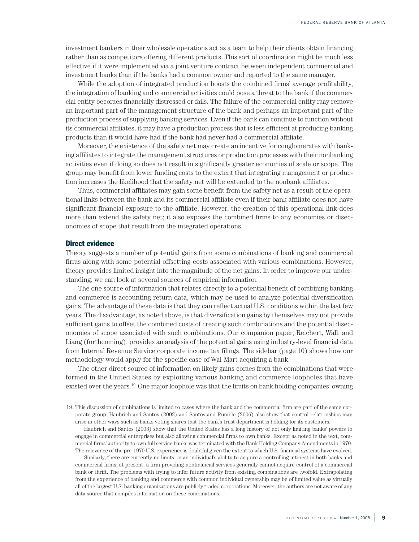investment bankers in their wholesale operations act as a team to help their clients obtain financing rather than as competitors offering different products. This sort of coordination might be much less effective if it were implemented via a joint venture contract between independent commercial and investment banks than if the banks had a common owner and reported to the same manager.

While the adoption of integrated production boosts the combined firms' average profitability, the integration of banking and commercial activities could pose a threat to the bank if the commercial entity becomes financially distressed or fails. The failure of the commercial entity may remove an important part of the management structure of the bank and perhaps an important part of the production process of supplying banking services. Even if the bank can continue to function without its commercial affiliates, it may have a production process that is less efficient at producing banking products than it would have had if the bank had never had a commercial affiliate.

Moreover, the existence of the safety net may create an incentive for conglomerates with banking affiliates to integrate the management structures or production processes with their nonbanking activities even if doing so does not result in significantly greater economies of scale or scope. The group may benefit from lower funding costs to the extent that integrating management or production increases the likelihood that the safety net will be extended to the nonbank affiliates.

Thus, commercial affiliates may gain some benefit from the safety net as a result of the operational links between the bank and its commercial affiliate even if their bank affiliate does not have significant financial exposure to the affiliate. However, the creation of this operational link does more than extend the safety net; it also exposes the combined firms to any economies or diseconomies of scope that result from the integrated operations.

#### **Direct evidence**

Theory suggests a number of potential gains from some combinations of banking and commercial firms along with some potential offsetting costs associated with various combinations. However, theory provides limited insight into the magnitude of the net gains. In order to improve our understanding, we can look at several sources of empirical information.

The one source of information that relates directly to a potential benefit of combining banking and commerce is accounting return data, which may be used to analyze potential diversification gains. The advantage of these data is that they can reflect actual U.S. conditions within the last few years. The disadvantage, as noted above, is that diversification gains by themselves may not provide sufficient gains to offset the combined costs of creating such combinations and the potential diseconomies of scope associated with such combinations. Our companion paper, Reichert, Wall, and Liang (forthcoming), provides an analysis of the potential gains using industry-level financial data from Internal Revenue Service corporate income tax filings. The sidebar (page 10) shows how our methodology would apply for the specific case of Wal-Mart acquiring a bank.

The other direct source of information on likely gains comes from the combinations that were formed in the United States by exploiting various banking and commerce loopholes that have existed over the years.<sup>19</sup> One major loophole was that the limits on bank holding companies' owning

Similarly, there are currently no limits on an individual's ability to acquire a controlling interest in both banks and commercial firms; at present, a firm providing nonfinancial services generally cannot acquire control of a commercial bank or thrift. The problems with trying to infer future activity from existing combinations are twofold. Extrapolating from the experience of banking and commerce with common individual ownership may be of limited value as virtually all of the largest U.S. banking organizations are publicly traded corporations. Moreover, the authors are not aware of any data source that compiles information on these combinations.

<sup>19.</sup> This discussion of combinations is limited to cases where the bank and the commercial firm are part of the same corporate group. Haubrich and Santos (2003) and Santos and Rumble (2006) also show that control relationships may arise in other ways such as banks voting shares that the bank's trust department is holding for its customers.

Haubrich and Santos (2003) show that the United States has a long history of not only limiting banks' powers to engage in commercial enterprises but also allowing commercial firms to own banks. Except as noted in the text, commercial firms' authority to own full service banks was terminated with the Bank Holding Company Amendments in 1970. The relevance of the pre-1970 U.S. experience is doubtful given the extent to which U.S. financial systems have evolved.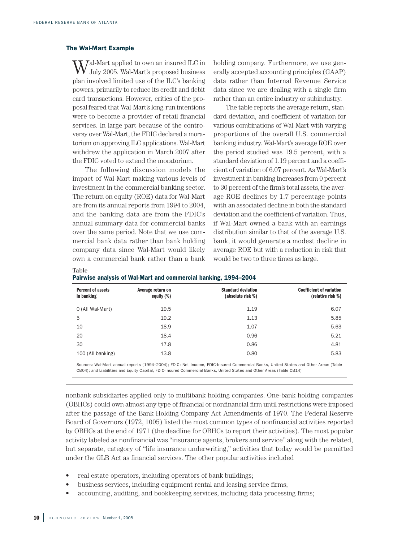#### **The Wal-Mart Example**

Wal-Mart applied to own an insured ILC in July 2005. Wal-Mart's proposed business plan involved limited use of the ILC's banking powers, primarily to reduce its credit and debit card transactions. However, critics of the proposal feared that Wal-Mart's long-run intentions were to become a provider of retail financial services. In large part because of the controversy over Wal-Mart, the FDIC declared a moratorium on approving ILC applications. Wal-Mart withdrew the application in March 2007 after the FDIC voted to extend the moratorium.

The following discussion models the impact of Wal-Mart making various levels of investment in the commercial banking sector. The return on equity (ROE) data for Wal-Mart are from its annual reports from 1994 to 2004, and the banking data are from the FDIC's annual summary data for commercial banks over the same period. Note that we use commercial bank data rather than bank holding company data since Wal-Mart would likely own a commercial bank rather than a bank

**Pairwise analysis of Wal-Mart and commercial banking, 1994–2004**

holding company. Furthermore, we use generally accepted accounting principles (GAAP) data rather than Internal Revenue Service data since we are dealing with a single firm rather than an entire industry or subindustry.

The table reports the average return, standard deviation, and coefficient of variation for various combinations of Wal-Mart with varying proportions of the overall U.S. commercial banking industry. Wal-Mart's average ROE over the period studied was 19.5 percent, with a standard deviation of 1.19 percent and a coefficient of variation of 6.07 percent. As Wal-Mart's investment in banking increases from 0 percent to 30 percent of the firm's total assets, the average ROE declines by 1.7 percentage points with an associated decline in both the standard deviation and the coefficient of variation. Thus, if Wal-Mart owned a bank with an earnings distribution similar to that of the average U.S. bank, it would generate a modest decline in average ROE but with a reduction in risk that would be two to three times as large.

| <b>Percent of assets</b><br>in banking | Average return on<br>equity $(\%)$ | <b>Standard deviation</b><br>(absolute risk %) | <b>Coefficient of variation</b><br>(relative risk %) |
|----------------------------------------|------------------------------------|------------------------------------------------|------------------------------------------------------|
| 0 (All Wal-Mart)                       | 19.5                               | 1.19                                           | 6.07                                                 |
| 5                                      | 19.2                               | 1.13                                           | 5.85                                                 |
| 10                                     | 18.9                               | 1.07                                           | 5.63                                                 |
| 20                                     | 18.4                               | 0.96                                           | 5.21                                                 |
| 30                                     | 17.8                               | 0.86                                           | 4.81                                                 |
| 100 (All banking)                      | 13.8                               | 0.80                                           | 5.83                                                 |

nonbank subsidiaries applied only to multibank holding companies. One-bank holding companies (OBHCs) could own almost any type of financial or nonfinancial firm until restrictions were imposed after the passage of the Bank Holding Company Act Amendments of 1970. The Federal Reserve Board of Governors (1972, 1005) listed the most common types of nonfinancial activities reported by OBHCs at the end of 1971 (the deadline for OBHCs to report their activities). The most popular activity labeled as nonfinancial was "insurance agents, brokers and service" along with the related, but separate, category of "life insurance underwriting," activities that today would be permitted under the GLB Act as financial services. The other popular activities included

- real estate operators, including operators of bank buildings;
- business services, including equipment rental and leasing service firms;
- accounting, auditing, and bookkeeping services, including data processing firms;

Table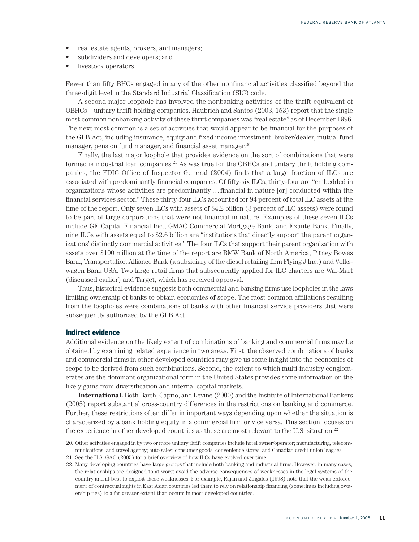- real estate agents, brokers, and managers;
- subdividers and developers; and
- livestock operators.

Fewer than fifty BHCs engaged in any of the other nonfinancial activities classified beyond the three-digit level in the Standard Industrial Classification (SIC) code.

A second major loophole has involved the nonbanking activities of the thrift equivalent of OBHCs—unitary thrift holding companies. Haubrich and Santos (2003, 153) report that the single most common nonbanking activity of these thrift companies was "real estate" as of December 1996. The next most common is a set of activities that would appear to be financial for the purposes of the GLB Act, including insurance, equity and fixed income investment, broker/dealer, mutual fund manager, pension fund manager, and financial asset manager. 20

Finally, the last major loophole that provides evidence on the sort of combinations that were formed is industrial loan companies.<sup>21</sup> As was true for the OBHCs and unitary thrift holding companies, the FDIC Office of Inspector General (2004) finds that a large fraction of ILCs are associated with predominantly financial companies. Of fifty-six ILCs, thirty-four are "embedded in organizations whose activities are predominantly ...financial in nature [or] conducted within the financial services sector." These thirty-four ILCs accounted for 94 percent of total ILC assets at the time of the report. Only seven ILCs with assets of \$4.2 billion (3 percent of ILC assets) were found to be part of large corporations that were not financial in nature. Examples of these seven ILCs include GE Capital Financial Inc., GMAC Commercial Mortgage Bank, and Exante Bank. Finally, nine ILCs with assets equal to \$2.6 billion are "institutions that directly support the parent organizations' distinctly commercial activities." The four ILCs that support their parent organization with assets over \$100 million at the time of the report are BMW Bank of North America, Pitney Bowes Bank, Transportation Alliance Bank (a subsidiary of the diesel retailing firm Flying J Inc.) and Volkswagen Bank USA. Two large retail firms that subsequently applied for ILC charters are Wal-Mart (discussed earlier) and Target, which has received approval.

Thus, historical evidence suggests both commercial and banking firms use loopholes in the laws limiting ownership of banks to obtain economies of scope. The most common affiliations resulting from the loopholes were combinations of banks with other financial service providers that were subsequently authorized by the GLB Act.

#### **Indirect evidence**

Additional evidence on the likely extent of combinations of banking and commercial firms may be obtained by examining related experience in two areas. First, the observed combinations of banks and commercial firms in other developed countries may give us some insight into the economies of scope to be derived from such combinations. Second, the extent to which multi-industry conglomerates are the dominant organizational form in the United States provides some information on the likely gains from diversification and internal capital markets.

**International.** Both Barth, Caprio, and Levine (2000) and the Institute of International Bankers (2005) report substantial cross-country differences in the restrictions on banking and commerce. Further, these restrictions often differ in important ways depending upon whether the situation is characterized by a bank holding equity in a commercial firm or vice versa. This section focuses on the experience in other developed countries as these are most relevant to the U.S. situation.<sup>22</sup>

<sup>20.</sup> Other activities engaged in by two or more unitary thrift companies include hotel owner/operator; manufacturing, telecommunications, and travel agency; auto sales; consumer goods; convenience stores; and Canadian credit union leagues.

<sup>21.</sup> See the U.S. GAO (2005) for a brief overview of how ILCs have evolved over time.

<sup>22.</sup> Many developing countries have large groups that include both banking and industrial firms. However, in many cases, the relationships are designed to at worst avoid the adverse consequences of weaknesses in the legal systems of the country and at best to exploit these weaknesses. For example, Rajan and Zingales (1998) note that the weak enforcement of contractual rights in East Asian countries led them to rely on relationship financing (sometimes including ownership ties) to a far greater extent than occurs in most developed countries.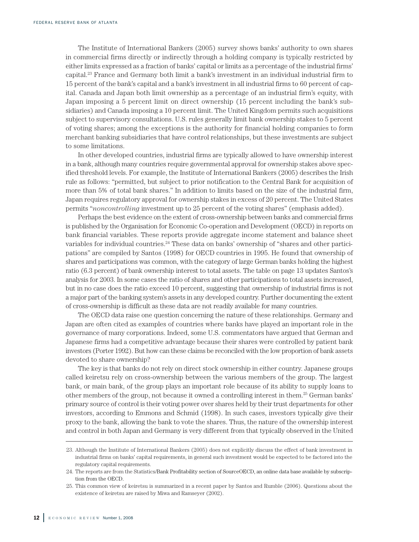The Institute of International Bankers (2005) survey shows banks' authority to own shares in commercial firms directly or indirectly through a holding company is typically restricted by either limits expressed as a fraction of banks' capital or limits as a percentage of the industrial firms' capital. <sup>23</sup> France and Germany both limit a bank's investment in an individual industrial firm to 15 percent of the bank's capital and a bank's investment in all industrial firms to 60 percent of capital. Canada and Japan both limit ownership as a percentage of an industrial firm's equity, with Japan imposing a 5 percent limit on direct ownership (15 percent including the bank's subsidiaries) and Canada imposing a 10 percent limit. The United Kingdom permits such acquisitions subject to supervisory consultations. U.S. rules generally limit bank ownership stakes to 5 percent of voting shares; among the exceptions is the authority for financial holding companies to form merchant banking subsidiaries that have control relationships, but these investments are subject to some limitations.

In other developed countries, industrial firms are typically allowed to have ownership interest in a bank, although many countries require governmental approval for ownership stakes above specified threshold levels. For example, the Institute of International Bankers (2005) describes the Irish rule as follows: "permitted, but subject to prior notification to the Central Bank for acquisition of more than 5% of total bank shares." In addition to limits based on the size of the industrial firm, Japan requires regulatory approval for ownership stakes in excess of 20 percent. The United States permits "*noncontrolling* investment up to 25 percent of the voting shares" (emphasis added).

Perhaps the best evidence on the extent of cross-ownership between banks and commercial firms is published by the Organisation for Economic Co-operation and Development (OECD) in reports on bank financial variables. These reports provide aggregate income statement and balance sheet variables for individual countries. <sup>24</sup> These data on banks' ownership of "shares and other participations" are compiled by Santos (1998) for OECD countries in 1995. He found that ownership of shares and participations was common, with the category of large German banks holding the highest ratio (6.3 percent) of bank ownership interest to total assets. The table on page 13 updates Santos's analysis for 2003. In some cases the ratio of shares and other participations to total assets increased, but in no case does the ratio exceed 10 percent, suggesting that ownership of industrial firms is not a major part of the banking system's assets in any developed country. Further documenting the extent of cross-ownership is difficult as these data are not readily available for many countries.

The OECD data raise one question concerning the nature of these relationships. Germany and Japan are often cited as examples of countries where banks have played an important role in the governance of many corporations. Indeed, some U.S. commentators have argued that German and Japanese firms had a competitive advantage because their shares were controlled by patient bank investors (Porter 1992). But how can these claims be reconciled with the low proportion of bank assets devoted to share ownership?

The key is that banks do not rely on direct stock ownership in either country. Japanese groups called keiretsu rely on cross-ownership between the various members of the group. The largest bank, or main bank, of the group plays an important role because of its ability to supply loans to other members of the group, not because it owned a controlling interest in them. <sup>25</sup> German banks' primary source of control is their voting power over shares held by their trust departments for other investors, according to Emmons and Schmid (1998). In such cases, investors typically give their proxy to the bank, allowing the bank to vote the shares. Thus, the nature of the ownership interest and control in both Japan and Germany is very different from that typically observed in the United

<sup>23.</sup> Although the Institute of International Bankers (2005) does not explicitly discuss the effect of bank investment in industrial firms on banks' capital requirements, in general such investment would be expected to be factored into the regulatory capital requirements.

<sup>24.</sup> The reports are from the Statistics/Bank Profitability section of SourceOECD, an online data base available by subscription from the OECD.

<sup>25.</sup> This common view of keiretsu is summarized in a recent paper by Santos and Rumble (2006). Questions about the existence of keiretsu are raised by Miwa and Ramseyer (2002).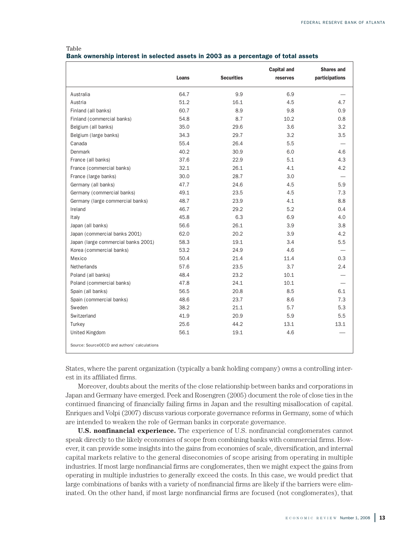|                                     | Loans | <b>Securities</b> | <b>Capital and</b><br>reserves | <b>Shares and</b><br>participations |
|-------------------------------------|-------|-------------------|--------------------------------|-------------------------------------|
| Australia                           | 64.7  | 9.9               | 6.9                            |                                     |
| Austria                             | 51.2  | 16.1              | 4.5                            | 4.7                                 |
| Finland (all banks)                 | 60.7  | 8.9               | 9.8                            | 0.9                                 |
| Finland (commercial banks)          | 54.8  | 8.7               | 10.2                           | 0.8                                 |
| Belgium (all banks)                 | 35.0  | 29.6              | 3.6                            | 3.2                                 |
| Belgium (large banks)               | 34.3  | 29.7              | 3.2                            | 3.5                                 |
| Canada                              | 55.4  | 26.4              | 5.5                            |                                     |
| Denmark                             | 40.2  | 30.9              | 6.0                            | 4.6                                 |
| France (all banks)                  | 37.6  | 22.9              | 5.1                            | 4.3                                 |
| France (commercial banks)           | 32.1  | 26.1              | 4.1                            | 4.2                                 |
| France (large banks)                | 30.0  | 28.7              | 3.0                            |                                     |
| Germany (all banks)                 | 47.7  | 24.6              | 4.5                            | 5.9                                 |
| Germany (commercial banks)          | 49.1  | 23.5              | 4.5                            | 7.3                                 |
| Germany (large commercial banks)    | 48.7  | 23.9              | 4.1                            | 8.8                                 |
| Ireland                             | 46.7  | 29.2              | 5.2                            | 0.4                                 |
| Italy                               | 45.8  | 6.3               | 6.9                            | 4.0                                 |
| Japan (all banks)                   | 56.6  | 26.1              | 3.9                            | 3.8                                 |
| Japan (commercial banks 2001)       | 62.0  | 20.2              | 3.9                            | 4.2                                 |
| Japan (large commercial banks 2001) | 58.3  | 19.1              | 3.4                            | 5.5                                 |
| Korea (commercial banks)            | 53.2  | 24.9              | 4.6                            |                                     |
| Mexico                              | 50.4  | 21.4              | 11.4                           | 0.3                                 |
| Netherlands                         | 57.6  | 23.5              | 3.7                            | 2.4                                 |
| Poland (all banks)                  | 48.4  | 23.2              | 10.1                           |                                     |
| Poland (commercial banks)           | 47.8  | 24.1              | 10.1                           |                                     |
| Spain (all banks)                   | 56.5  | 20.8              | 8.5                            | 6.1                                 |
| Spain (commercial banks)            | 48.6  | 23.7              | 8.6                            | 7.3                                 |
| Sweden                              | 38.2  | 21.1              | 5.7                            | 5.3                                 |
| Switzerland                         | 41.9  | 20.9              | 5.9                            | 5.5                                 |
| Turkev                              | 25.6  | 44.2              | 13.1                           | 13.1                                |

#### Table **Bank ownership interest in selected assets in 2003 as a percentage of total assets**

Source: SourceOECD and authors' calculations

States, where the parent organization (typically a bank holding company) owns a controlling interest in its affiliated firms.

United Kingdom 56.1 19.1 4.6 —-

Moreover, doubts about the merits of the close relationship between banks and corporations in Japan and Germany have emerged. Peek and Rosengren (2005) document the role of close ties in the continued financing of financially failing firms in Japan and the resulting misallocation of capital. Enriques and Volpi (2007) discuss various corporate governance reforms in Germany, some of which are intended to weaken the role of German banks in corporate governance.

**U.S. nonfinancial experience.** The experience of U.S. nonfinancial conglomerates cannot speak directly to the likely economies of scope from combining banks with commercial firms. However, it can provide some insights into the gains from economies of scale, diversification, and internal capital markets relative to the general diseconomies of scope arising from operating in multiple industries. If most large nonfinancial firms are conglomerates, then we might expect the gains from operating in multiple industries to generally exceed the costs. In this case, we would predict that large combinations of banks with a variety of nonfinancial firms are likely if the barriers were eliminated. On the other hand, if most large nonfinancial firms are focused (not conglomerates), that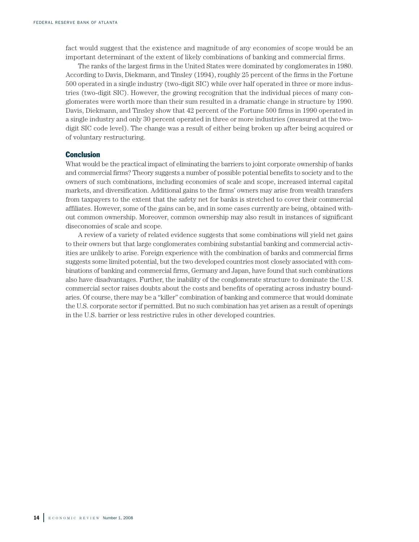fact would suggest that the existence and magnitude of any economies of scope would be an important determinant of the extent of likely combinations of banking and commercial firms.

The ranks of the largest firms in the United States were dominated by conglomerates in 1980. According to Davis, Diekmann, and Tinsley (1994), roughly 25 percent of the firms in the Fortune 500 operated in a single industry (two-digit SIC) while over half operated in three or more industries (two-digit SIC). However, the growing recognition that the individual pieces of many conglomerates were worth more than their sum resulted in a dramatic change in structure by 1990. Davis, Diekmann, and Tinsley show that 42 percent of the Fortune 500 firms in 1990 operated in a single industry and only 30 percent operated in three or more industries (measured at the twodigit SIC code level). The change was a result of either being broken up after being acquired or of voluntary restructuring.

#### **Conclusion**

What would be the practical impact of eliminating the barriers to joint corporate ownership of banks and commercial firms? Theory suggests a number of possible potential benefits to society and to the owners of such combinations, including economies of scale and scope, increased internal capital markets, and diversification. Additional gains to the firms' owners may arise from wealth transfers from taxpayers to the extent that the safety net for banks is stretched to cover their commercial affiliates. However, some of the gains can be, and in some cases currently are being, obtained without common ownership. Moreover, common ownership may also result in instances of significant diseconomies of scale and scope.

A review of a variety of related evidence suggests that some combinations will yield net gains to their owners but that large conglomerates combining substantial banking and commercial activities are unlikely to arise. Foreign experience with the combination of banks and commercial firms suggests some limited potential, but the two developed countries most closely associated with combinations of banking and commercial firms, Germany and Japan, have found that such combinations also have disadvantages. Further, the inability of the conglomerate structure to dominate the U.S. commercial sector raises doubts about the costs and benefits of operating across industry boundaries. Of course, there may be a "killer" combination of banking and commerce that would dominate the U.S. corporate sector if permitted. But no such combination has yet arisen as a result of openings in the U.S. barrier or less restrictive rules in other developed countries.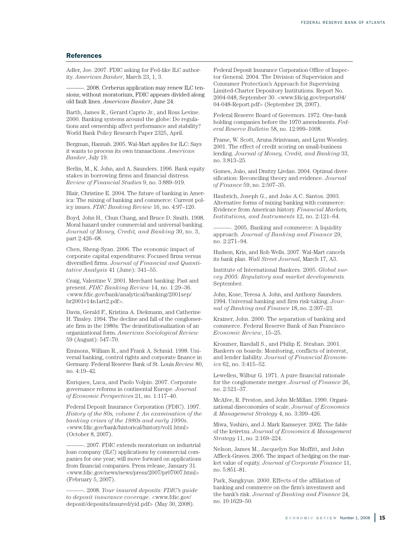#### **References**

Adler, Joe. 2007. FDIC asking for Fed-like ILC authority. *American Banker*, March 23, 1, 3.

———. 2008. Cerberus application may renew ILC tensions; without moratorium, FDIC appears divided along old fault lines. *American Banker*, June 24.

Barth, James R., Gerard Caprio Jr., and Ross Levine. 2000. Banking systems around the globe: Do regulations and ownership affect performance and stability? World Bank Policy Research Paper 2325, April.

Bergman, Hannah. 2005. Wal-Mart applies for ILC: Says it wants to process its own transactions. *American Banker*, July 19.

Berlin, M., K. John, and A. Saunders. 1996. Bank equity stakes in borrowing firms and financial distress. *Review of Financial Studies* 9, no. 3:889–919.

Blair, Christine E. 2004. The future of banking in America: The mixing of banking and commerce: Current policy issues. *FDIC Banking Review* 16, no. 4:97–120.

Boyd*,* John H*.,* Chun Chang, and Bruce D. Smith. 1998. Moral hazard under commercial and universal banking. *Journal of Money, Credit, and Banking* 30, no. 3, part 2:426–68.

Chen, Sheng-Syan. 2006. The economic impact of corporate capital expenditures: Focused firms versus diversified firms. *Journal of Financial and Quantitative Analysis* 41 (June): 341–55.

Craig, Valentine V. 2001. Merchant banking: Past and present. *FDIC Banking Review* 14, no. 1:29–36. <www.fdic.gov/bank/analytical/banking/2001sep/ br2001v14n1art2.pdf>.

Davis, Gerald F., Kristina A. Diekmann, and Catherine H. Tinsley. 1994. The decline and fall of the conglomerate firm in the 1980s: The deinstitutionalization of an organizational form. *American Sociological Review* 59 (August): 547–70.

Emmons, William R., and Frank A. Schmid. 1998. Universal banking, control rights and corporate finance in Germany. Federal Reserve Bank of St. Louis *Review* 80, no. 4:19–42.

Enriques, Luca, and Paolo Volpin. 2007. Corporate governance reforms in continental Europe. *Journal of Economic Perspectives* 21, no. 1:117–40.

Federal Deposit Insurance Corporation (FDIC). 1997. *History of the 80s, volume I: An examination of the banking crises of the 1980s and early 1990s*. <www.fdic.gov/bank/historical/history/vol1.html> (October 8, 2007).

———. 2007. FDIC extends moratorium on industrial loan company (ILC) applications by commercial companies for one year; will move forward on applications from financial companies. Press release, January 31. <www.fdic.gov/news/news/press/2007/pr07007.html> (February 5, 2007).

———. 2008. *Your insured deposits: FDIC's guide to deposit insurance coverage*. <www.fdic.gov/ deposit/deposits/insured/yid.pdf> (May 30, 2008).

Federal Deposit Insurance Corporation Office of Inspector General. 2004. The Division of Supervision and Consumer Protection's Approach for Supervising Limited-Charter Depository Institutions. Report No. 2004-048, September 30. <www.fdicig.gov/reports04/ 04-048-Report.pdf> (September 28, 2007).

Federal Reserve Board of Governors. 1972. One-bank holding companies before the 1970 amendments. *Federal Reserve Bulletin* 58, no. 12:999–1008.

Frame, W. Scott, Aruna Srinivasan, and Lynn Woosley. 2001. The effect of credit scoring on small-business lending. *Journal of Money, Credit, and Banking* 33, no. 3:813–25.

Gomes, João, and Dmitry Livdan. 2004. Optimal diversification: Reconciling theory and evidence. *Journal of Finance* 59, no. 2:507–35.

Haubrich, Joseph G., and João A.C. Santos. 2003. Alternative forms of mixing banking with commerce: Evidence from American history. *Financial Markets, Institutions, and Instruments* 12, no. 2:121–64.

———. 2005. Banking and commerce: A liquidity approach. *Journal of Banking and Finance* 29, no. 2:271–94.

Hudson, Kris, and Rob Wells. 2007. Wal-Mart cancels its bank plan. *Wall Street Journal*, March 17, A3.

Institute of International Bankers. 2005. *Global survey 2005: Regulatory and market developments.* September.

John, Kose, Teresa A. John, and Anthony Saunders. 1994. Universal banking and firm risk-taking. *Journal of Banking and Finance* 18, no. 2:307–23.

Krainer, John. 2000. The separation of banking and commerce. Federal Reserve Bank of San Francisco *Economic Review*, 15–25.

Kroszner, Randall S., and Philip E. Strahan. 2001. Bankers on boards: Monitoring, conflicts of interest, and lender liability. *Journal of Financial Economics* 62, no. 3:415–52.

Lewellen, Wilbur G. 1971. A pure financial rationale for the conglomerate merger. *Journal of Finance* 26, no. 2:521–37.

McAfee, R. Preston, and John McMillan. 1990. Organizational diseconomies of scale. *Journal of Economics & Management Strategy* 4, no. 3:399–426.

Miwa, Yoshiro, and J. Mark Ramseyer. 2002. The fable of the keiretsu. *Journal of Economics & Management Strategy* 11, no. 2:169–224.

Nelson, James M., Jacquelyn Sue Moffitt, and John Affleck-Graves. 2005. The impact of hedging on the market value of equity. *Journal of Corporate Finance* 11, no. 5:851–81.

Park, Sangkyun. 2000. Effects of the affiliation of banking and commerce on the firm's investment and the bank's risk. *Journal of Banking and Finance* 24, no. 10:1629–50*.*